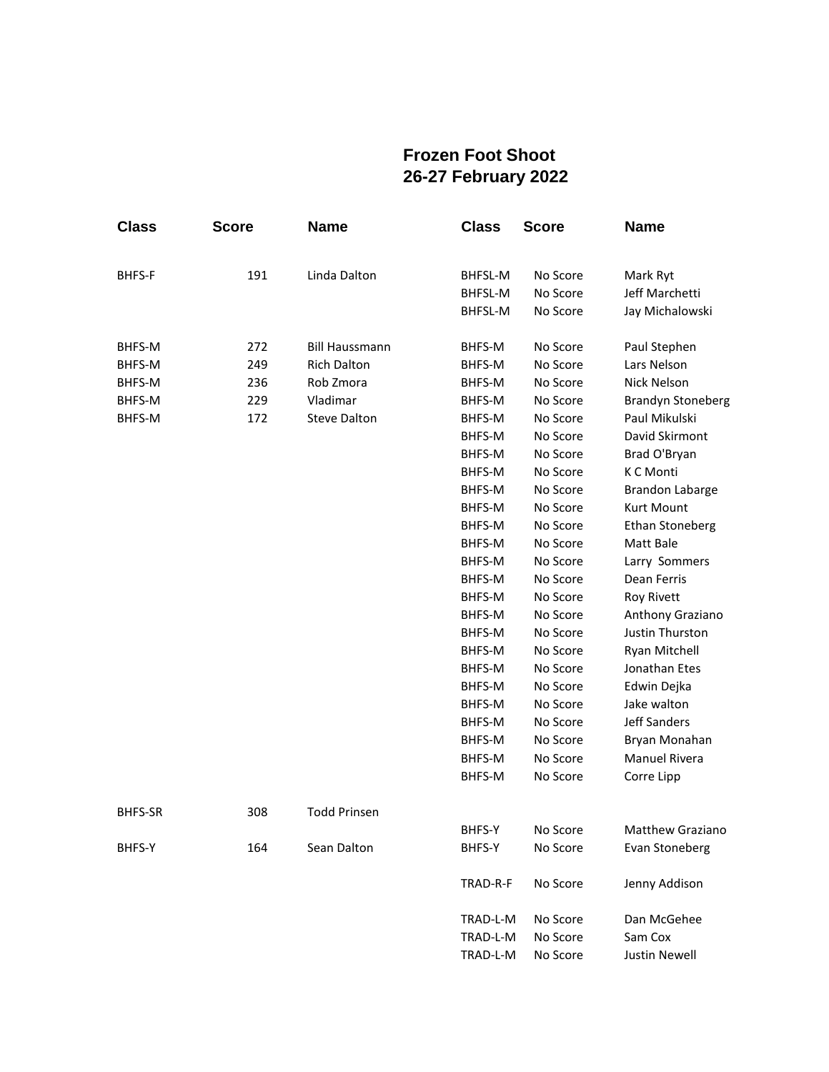## **Frozen Foot Shoot 26-27 February 2022**

| <b>Class</b>   | <b>Score</b> | <b>Name</b>           | <b>Class</b> | <b>Score</b> | <b>Name</b>                |
|----------------|--------------|-----------------------|--------------|--------------|----------------------------|
|                | 191          | Linda Dalton          | BHFSL-M      | No Score     |                            |
| BHFS-F         |              |                       | BHFSL-M      | No Score     | Mark Ryt<br>Jeff Marchetti |
|                |              |                       |              | No Score     | Jay Michalowski            |
|                |              |                       | BHFSL-M      |              |                            |
| BHFS-M         | 272          | <b>Bill Haussmann</b> | BHFS-M       | No Score     | Paul Stephen               |
| BHFS-M         | 249          | <b>Rich Dalton</b>    | BHFS-M       | No Score     | Lars Nelson                |
| BHFS-M         | 236          | Rob Zmora             | BHFS-M       | No Score     | Nick Nelson                |
| BHFS-M         | 229          | Vladimar              | BHFS-M       | No Score     | <b>Brandyn Stoneberg</b>   |
| BHFS-M         | 172          | <b>Steve Dalton</b>   | BHFS-M       | No Score     | Paul Mikulski              |
|                |              |                       | BHFS-M       | No Score     | David Skirmont             |
|                |              |                       | BHFS-M       | No Score     | Brad O'Bryan               |
|                |              |                       | BHFS-M       | No Score     | K C Monti                  |
|                |              |                       | BHFS-M       | No Score     | <b>Brandon Labarge</b>     |
|                |              |                       | BHFS-M       | No Score     | Kurt Mount                 |
|                |              |                       | BHFS-M       | No Score     | <b>Ethan Stoneberg</b>     |
|                |              |                       | BHFS-M       | No Score     | Matt Bale                  |
|                |              |                       | BHFS-M       | No Score     | Larry Sommers              |
|                |              |                       | BHFS-M       | No Score     | Dean Ferris                |
|                |              |                       | BHFS-M       | No Score     | <b>Roy Rivett</b>          |
|                |              |                       | BHFS-M       | No Score     | Anthony Graziano           |
|                |              |                       | BHFS-M       | No Score     | Justin Thurston            |
|                |              |                       | BHFS-M       | No Score     | Ryan Mitchell              |
|                |              |                       | BHFS-M       | No Score     | Jonathan Etes              |
|                |              |                       | BHFS-M       | No Score     | Edwin Dejka                |
|                |              |                       | BHFS-M       | No Score     | Jake walton                |
|                |              |                       | BHFS-M       | No Score     | <b>Jeff Sanders</b>        |
|                |              |                       | BHFS-M       | No Score     | Bryan Monahan              |
|                |              |                       | BHFS-M       | No Score     | <b>Manuel Rivera</b>       |
|                |              |                       | BHFS-M       | No Score     | Corre Lipp                 |
| <b>BHFS-SR</b> | 308          | <b>Todd Prinsen</b>   |              |              |                            |
|                |              |                       | BHFS-Y       | No Score     | <b>Matthew Graziano</b>    |
| BHFS-Y         | 164          | Sean Dalton           | BHFS-Y       | No Score     | Evan Stoneberg             |
|                |              |                       |              |              |                            |
|                |              |                       | TRAD-R-F     | No Score     | Jenny Addison              |
|                |              |                       | TRAD-L-M     | No Score     | Dan McGehee                |
|                |              |                       | TRAD-L-M     | No Score     | Sam Cox                    |
|                |              |                       | TRAD-L-M     | No Score     | <b>Justin Newell</b>       |